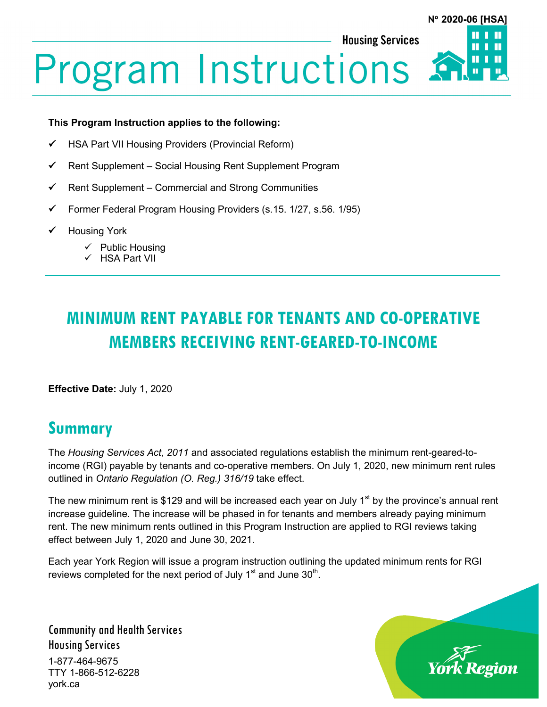**Housing Services** 



# **Program Instructions**

#### **This Program Instruction applies to the following:**

- HSA Part VII Housing Providers (Provincial Reform)
- $\checkmark$  Rent Supplement Social Housing Rent Supplement Program
- $\checkmark$  Rent Supplement Commercial and Strong Communities
- Former Federal Program Housing Providers (s.15. 1/27, s.56. 1/95)
- Housing York
	- $\checkmark$  Public Housing
	- HSA Part VII

# **MINIMUM RENT PAYABLE FOR TENANTS AND CO-OPERATIVE MEMBERS RECEIVING RENT-GEARED-TO-INCOME**

**Effective Date:** July 1, 2020

# **Summary**

The *Housing Services Act, 2011* and associated regulations establish the minimum rent-geared-toincome (RGI) payable by tenants and co-operative members. On July 1, 2020, new minimum rent rules outlined in *Ontario Regulation (O. Reg.) 316/19* take effect.

The new minimum rent is \$129 and will be increased each year on July  $1<sup>st</sup>$  by the province's annual rent increase guideline. The increase will be phased in for tenants and members already paying minimum rent. The new minimum rents outlined in this Program Instruction are applied to RGI reviews taking effect between July 1, 2020 and June 30, 2021.

Each year York Region will issue a program instruction outlining the updated minimum rents for RGI reviews completed for the next period of July  $1<sup>st</sup>$  and June  $30<sup>th</sup>$ .

Community and Health Services Housing Services 1-877-464-9675 TTY 1-866-512-6228 york.ca

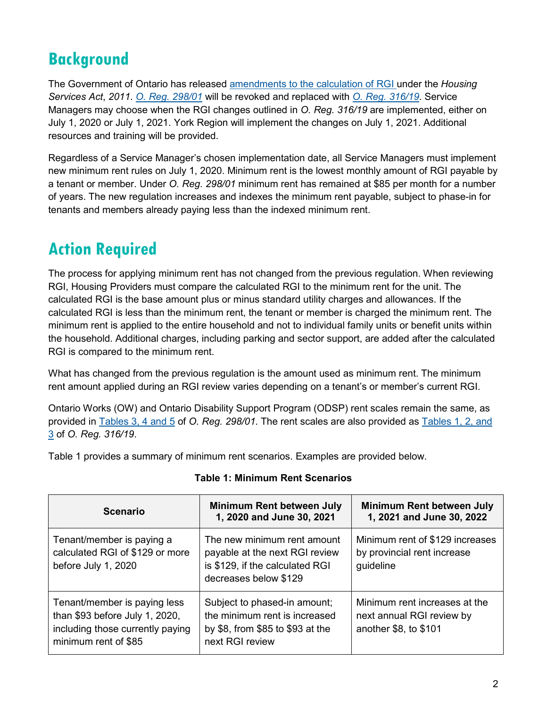# **Background**

The Government of Ontario has released amendments to [the calculation of](https://www.york.ca/wps/wcm/connect/yorkpublic/a7dccffa-cb0a-4686-bdee-e02c07d05761/Social-Housing-Notification-RGI-Simplification-2019.pdf?MOD=AJPERES&CVID=m-0z.i4) RGI under the *Housing Services Act*, *2011*. *O. Reg. [298/01](https://www.ontario.ca/laws/regulation/010298)* will be revoked and replaced with *O. Reg. [316/19](https://www.ontario.ca/laws/regulation/r19316)*. Service Managers may choose when the RGI changes outlined in *O. Reg. 316/19* are implemented, either on July 1, 2020 or July 1, 2021. York Region will implement the changes on July 1, 2021. Additional resources and training will be provided.

Regardless of a Service Manager's chosen implementation date, all Service Managers must implement new minimum rent rules on July 1, 2020. Minimum rent is the lowest monthly amount of RGI payable by a tenant or member. Under *O. Reg. 298/01* minimum rent has remained at \$85 per month for a number of years. The new regulation increases and indexes the minimum rent payable, subject to phase-in for tenants and members already paying less than the indexed minimum rent.

# **Action Required**

The process for applying minimum rent has not changed from the previous regulation. When reviewing RGI, Housing Providers must compare the calculated RGI to the minimum rent for the unit. The calculated RGI is the base amount plus or minus standard utility charges and allowances. If the calculated RGI is less than the minimum rent, the tenant or member is charged the minimum rent. The minimum rent is applied to the entire household and not to individual family units or benefit units within the household. Additional charges, including parking and sector support, are added after the calculated RGI is compared to the minimum rent.

What has changed from the previous regulation is the amount used as minimum rent. The minimum rent amount applied during an RGI review varies depending on a tenant's or member's current RGI.

Ontario Works (OW) and Ontario Disability Support Program (ODSP) rent scales remain the same, as provided in [Tables 3, 4 and 5](https://www.ontario.ca/laws/regulation/010298#BK11) of *O. Reg. 298/01*. The rent scales are also provided as [Tables 1, 2, and](https://www.ontario.ca/laws/regulation/r19316#BK11)  [3](https://www.ontario.ca/laws/regulation/r19316#BK11) of *O. Reg. 316/19*.

Table 1 provides a summary of minimum rent scenarios. Examples are provided below.

| <b>Scenario</b>                                                                                                            | <b>Minimum Rent between July</b><br>1, 2020 and June 30, 2021                                                             | <b>Minimum Rent between July</b><br>1, 2021 and June 30, 2022                       |
|----------------------------------------------------------------------------------------------------------------------------|---------------------------------------------------------------------------------------------------------------------------|-------------------------------------------------------------------------------------|
| Tenant/member is paying a<br>calculated RGI of \$129 or more<br>before July 1, 2020                                        | The new minimum rent amount<br>payable at the next RGI review<br>is \$129, if the calculated RGI<br>decreases below \$129 | Minimum rent of \$129 increases<br>by provincial rent increase<br>guideline         |
| Tenant/member is paying less<br>than \$93 before July 1, 2020,<br>including those currently paying<br>minimum rent of \$85 | Subject to phased-in amount;<br>the minimum rent is increased<br>by \$8, from \$85 to \$93 at the<br>next RGI review      | Minimum rent increases at the<br>next annual RGI review by<br>another \$8, to \$101 |

## **Table 1: Minimum Rent Scenarios**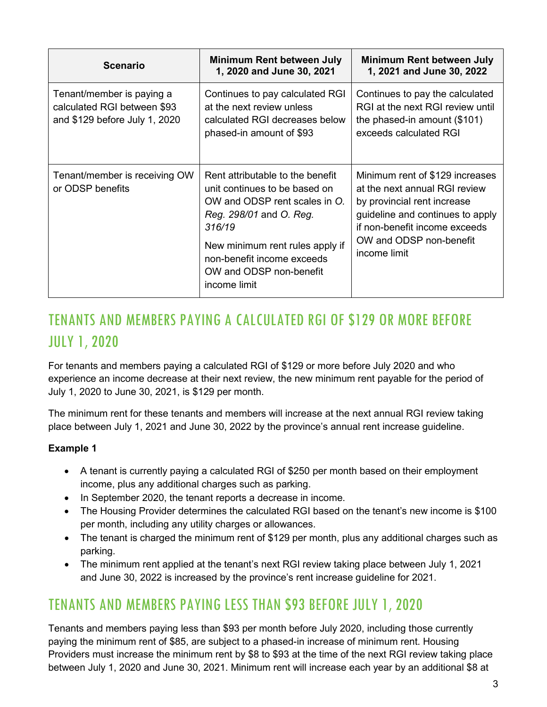| <b>Scenario</b>                                                                           | Minimum Rent between July<br>1, 2020 and June 30, 2021                                                                                                                                                                                              | Minimum Rent between July<br>1, 2021 and June 30, 2022                                                                                                                                                          |
|-------------------------------------------------------------------------------------------|-----------------------------------------------------------------------------------------------------------------------------------------------------------------------------------------------------------------------------------------------------|-----------------------------------------------------------------------------------------------------------------------------------------------------------------------------------------------------------------|
| Tenant/member is paying a<br>calculated RGI between \$93<br>and \$129 before July 1, 2020 | Continues to pay calculated RGI<br>at the next review unless<br>calculated RGI decreases below<br>phased-in amount of \$93                                                                                                                          | Continues to pay the calculated<br>RGI at the next RGI review until<br>the phased-in amount $(\$101)$<br>exceeds calculated RGI                                                                                 |
| Tenant/member is receiving OW<br>or ODSP benefits                                         | Rent attributable to the benefit<br>unit continues to be based on<br>OW and ODSP rent scales in O.<br>Reg. 298/01 and O. Reg.<br>316/19<br>New minimum rent rules apply if<br>non-benefit income exceeds<br>OW and ODSP non-benefit<br>income limit | Minimum rent of \$129 increases<br>at the next annual RGI review<br>by provincial rent increase<br>guideline and continues to apply<br>if non-benefit income exceeds<br>OW and ODSP non-benefit<br>income limit |

# TENANTS AND MEMBERS PAYING A CALCULATED RGI OF \$129 OR MORE BEFORE JULY 1, 2020

For tenants and members paying a calculated RGI of \$129 or more before July 2020 and who experience an income decrease at their next review, the new minimum rent payable for the period of July 1, 2020 to June 30, 2021, is \$129 per month.

The minimum rent for these tenants and members will increase at the next annual RGI review taking place between July 1, 2021 and June 30, 2022 by the province's annual rent increase guideline.

## **Example 1**

- A tenant is currently paying a calculated RGI of \$250 per month based on their employment income, plus any additional charges such as parking.
- In September 2020, the tenant reports a decrease in income.
- The Housing Provider determines the calculated RGI based on the tenant's new income is \$100 per month, including any utility charges or allowances.
- The tenant is charged the minimum rent of \$129 per month, plus any additional charges such as parking.
- The minimum rent applied at the tenant's next RGI review taking place between July 1, 2021 and June 30, 2022 is increased by the province's rent increase guideline for 2021.

## TENANTS AND MEMBERS PAYING LESS THAN \$93 BEFORE JULY 1, 2020

Tenants and members paying less than \$93 per month before July 2020, including those currently paying the minimum rent of \$85, are subject to a phased-in increase of minimum rent. Housing Providers must increase the minimum rent by \$8 to \$93 at the time of the next RGI review taking place between July 1, 2020 and June 30, 2021. Minimum rent will increase each year by an additional \$8 at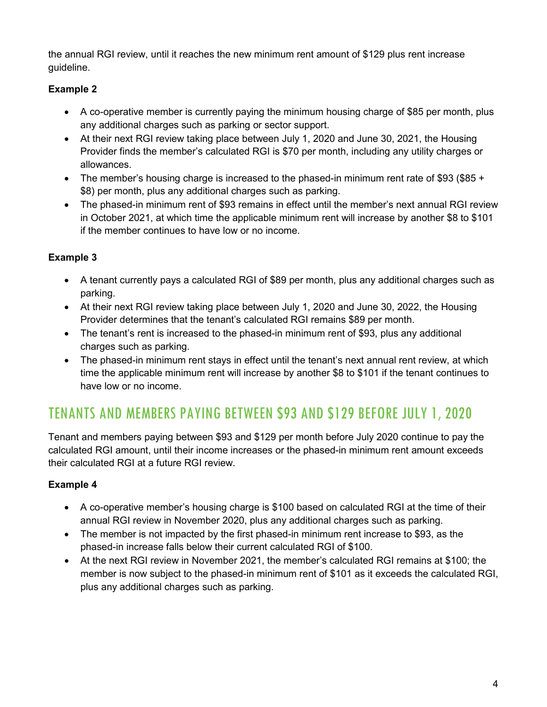the annual RGI review, until it reaches the new minimum rent amount of \$129 plus rent increase guideline.

## **Example 2**

- A co-operative member is currently paying the minimum housing charge of \$85 per month, plus any additional charges such as parking or sector support.
- At their next RGI review taking place between July 1, 2020 and June 30, 2021, the Housing Provider finds the member's calculated RGI is \$70 per month, including any utility charges or allowances.
- The member's housing charge is increased to the phased-in minimum rent rate of \$93 (\$85 + \$8) per month, plus any additional charges such as parking.
- The phased-in minimum rent of \$93 remains in effect until the member's next annual RGI review in October 2021, at which time the applicable minimum rent will increase by another \$8 to \$101 if the member continues to have low or no income.

## **Example 3**

- A tenant currently pays a calculated RGI of \$89 per month, plus any additional charges such as parking.
- At their next RGI review taking place between July 1, 2020 and June 30, 2022, the Housing Provider determines that the tenant's calculated RGI remains \$89 per month.
- The tenant's rent is increased to the phased-in minimum rent of \$93, plus any additional charges such as parking.
- The phased-in minimum rent stays in effect until the tenant's next annual rent review, at which time the applicable minimum rent will increase by another \$8 to \$101 if the tenant continues to have low or no income.

# TENANTS AND MEMBERS PAYING BETWEEN \$93 AND \$129 BEFORE JULY 1, 2020

Tenant and members paying between \$93 and \$129 per month before July 2020 continue to pay the calculated RGI amount, until their income increases or the phased-in minimum rent amount exceeds their calculated RGI at a future RGI review.

## **Example 4**

- A co-operative member's housing charge is \$100 based on calculated RGI at the time of their annual RGI review in November 2020, plus any additional charges such as parking.
- The member is not impacted by the first phased-in minimum rent increase to \$93, as the phased-in increase falls below their current calculated RGI of \$100.
- At the next RGI review in November 2021, the member's calculated RGI remains at \$100; the member is now subject to the phased-in minimum rent of \$101 as it exceeds the calculated RGI, plus any additional charges such as parking.